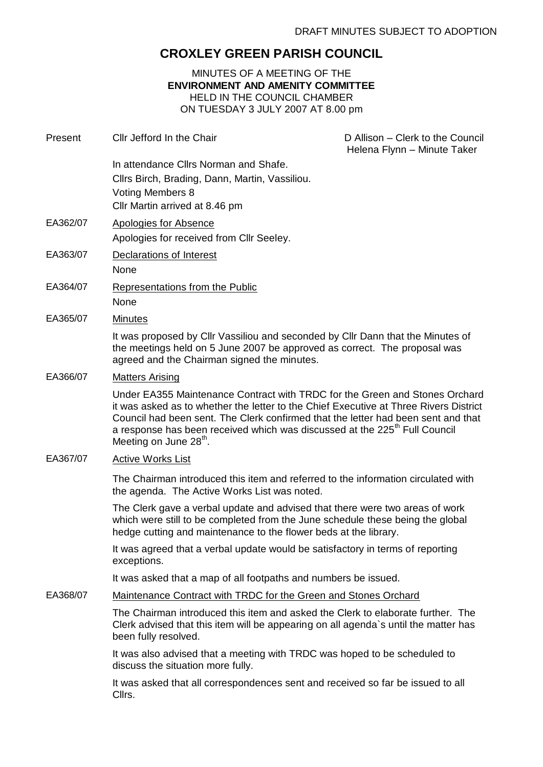## **CROXLEY GREEN PARISH COUNCIL**

MINUTES OF A MEETING OF THE **ENVIRONMENT AND AMENITY COMMITTEE** HELD IN THE COUNCIL CHAMBER ON TUESDAY 3 JULY 2007 AT 8.00 pm

| Present  | Cllr Jefford In the Chair                                                                                                                                                                                                                                                                                                                                                                 | D Allison - Clerk to the Council<br>Helena Flynn - Minute Taker |
|----------|-------------------------------------------------------------------------------------------------------------------------------------------------------------------------------------------------------------------------------------------------------------------------------------------------------------------------------------------------------------------------------------------|-----------------------------------------------------------------|
|          | In attendance Cllrs Norman and Shafe.<br>Cllrs Birch, Brading, Dann, Martin, Vassiliou.<br><b>Voting Members 8</b><br>Cllr Martin arrived at 8.46 pm                                                                                                                                                                                                                                      |                                                                 |
| EA362/07 | <b>Apologies for Absence</b><br>Apologies for received from Cllr Seeley.                                                                                                                                                                                                                                                                                                                  |                                                                 |
| EA363/07 | Declarations of Interest<br>None                                                                                                                                                                                                                                                                                                                                                          |                                                                 |
| EA364/07 | Representations from the Public<br>None                                                                                                                                                                                                                                                                                                                                                   |                                                                 |
| EA365/07 | <b>Minutes</b>                                                                                                                                                                                                                                                                                                                                                                            |                                                                 |
|          | It was proposed by Cllr Vassiliou and seconded by Cllr Dann that the Minutes of<br>the meetings held on 5 June 2007 be approved as correct. The proposal was<br>agreed and the Chairman signed the minutes.                                                                                                                                                                               |                                                                 |
| EA366/07 | <b>Matters Arising</b>                                                                                                                                                                                                                                                                                                                                                                    |                                                                 |
|          | Under EA355 Maintenance Contract with TRDC for the Green and Stones Orchard<br>it was asked as to whether the letter to the Chief Executive at Three Rivers District<br>Council had been sent. The Clerk confirmed that the letter had been sent and that<br>a response has been received which was discussed at the 225 <sup>th</sup> Full Council<br>Meeting on June 28 <sup>th</sup> . |                                                                 |
| EA367/07 | <b>Active Works List</b>                                                                                                                                                                                                                                                                                                                                                                  |                                                                 |
|          | The Chairman introduced this item and referred to the information circulated with<br>the agenda. The Active Works List was noted.                                                                                                                                                                                                                                                         |                                                                 |
|          | The Clerk gave a verbal update and advised that there were two areas of work<br>which were still to be completed from the June schedule these being the global<br>hedge cutting and maintenance to the flower beds at the library.                                                                                                                                                        |                                                                 |
|          | It was agreed that a verbal update would be satisfactory in terms of reporting<br>exceptions.                                                                                                                                                                                                                                                                                             |                                                                 |
|          | It was asked that a map of all footpaths and numbers be issued.                                                                                                                                                                                                                                                                                                                           |                                                                 |
| EA368/07 | Maintenance Contract with TRDC for the Green and Stones Orchard                                                                                                                                                                                                                                                                                                                           |                                                                 |
|          | The Chairman introduced this item and asked the Clerk to elaborate further. The<br>Clerk advised that this item will be appearing on all agenda's until the matter has<br>been fully resolved.                                                                                                                                                                                            |                                                                 |
|          | It was also advised that a meeting with TRDC was hoped to be scheduled to<br>discuss the situation more fully.                                                                                                                                                                                                                                                                            |                                                                 |
|          | It was asked that all correspondences sent and received so far be issued to all<br>Cllrs.                                                                                                                                                                                                                                                                                                 |                                                                 |